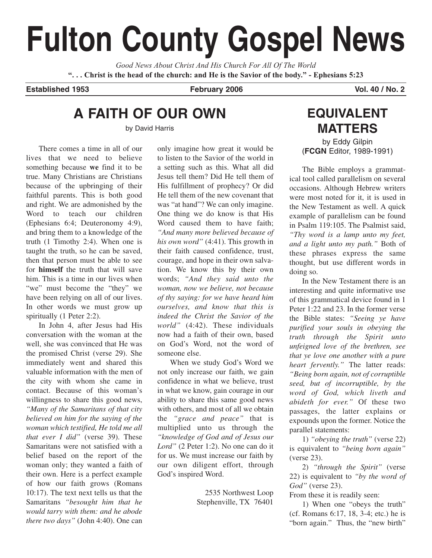# **Fulton County Gospel News**

*Good News About Christ And His Church For All Of The World* **". . . Christ is the head of the church: and He is the Savior of the body." - Ephesians 5:23**

Established 1953 **February 2006** Vol. 40 / No. 2

# **A FAITH OF OUR OWN**

by David Harris

There comes a time in all of our lives that we need to believe something because **we** find it to be true. Many Christians are Christians because of the upbringing of their faithful parents. This is both good and right. We are admonished by the Word to teach our children (Ephesians 6:4; Deuteronomy 4:9), and bring them to a knowledge of the truth (1 Timothy 2:4). When one is taught the truth, so he can be saved, then that person must be able to see for **himself** the truth that will save him. This is a time in our lives when "we" must become the "they" we have been relying on all of our lives. In other words we must grow up spiritually (1 Peter 2:2).

In John 4, after Jesus had His conversation with the woman at the well, she was convinced that He was the promised Christ (verse 29). She immediately went and shared this valuable information with the men of the city with whom she came in contact. Because of this woman's willingness to share this good news, *"Many of the Samaritans of that city believed on him for the saying of the woman which testified, He told me all that ever I did"* (verse 39). These Samaritans were not satisfied with a belief based on the report of the woman only; they wanted a faith of their own. Here is a perfect example of how our faith grows (Romans 10:17). The text next tells us that the Samaritans *"besought him that he would tarry with them: and he abode there two days"* (John 4:40). One can only imagine how great it would be to listen to the Savior of the world in a setting such as this. What all did Jesus tell them? Did He tell them of His fulfillment of prophecy? Or did He tell them of the new covenant that was "at hand"? We can only imagine. One thing we do know is that His Word caused them to have faith; *"And many more believed because of his own word"* (4:41). This growth in their faith caused confidence, trust, courage, and hope in their own salvation. We know this by their own words; *"And they said unto the woman, now we believe, not because of thy saying: for we have heard him ourselves, and know that this is indeed the Christ the Savior of the world"* (4:42). These individuals now had a faith of their own, based on God's Word, not the word of someone else.

When we study God's Word we not only increase our faith, we gain confidence in what we believe, trust in what we know, gain courage in our ability to share this same good news with others, and most of all we obtain the *"grace and peace"* that is multiplied unto us through the *"knowledge of God and of Jesus our Lord"* (2 Peter 1:2). No one can do it for us. We must increase our faith by our own diligent effort, through God's inspired Word.

> 2535 Northwest Loop Stephenville, TX 76401

# **EQUIVALENT MATTERS**

by Eddy Gilpin (**FCGN** Editor, 1989-1991)

The Bible employs a grammatical tool called parallelism on several occasions. Although Hebrew writers were most noted for it, it is used in the New Testament as well. A quick example of parallelism can be found in Psalm 119:105. The Psalmist said, *"Thy word is a lamp unto my feet, and a light unto my path."* Both of these phrases express the same thought, but use different words in doing so.

In the New Testament there is an interesting and quite informative use of this grammatical device found in 1 Peter 1:22 and 23. In the former verse the Bible states: *"Seeing ye have purified your souls in obeying the truth through the Spirit unto unfeigned love of the brethren, see that ye love one another with a pure heart fervently."* The latter reads: *"Being born again, not of corruptible seed, but of incorruptible, by the word of God, which liveth and abideth for ever."* Of these two passages, the latter explains or expounds upon the former. Notice the parallel statements:

1) *"obeying the truth"* (verse 22) is equivalent to *"being born again"* (verse 23).

2) *"through the Spirit"* (verse 22) is equivalent to *"by the word of God"* (verse 23).

From these it is readily seen:

1) When one "obeys the truth" (cf. Romans 6:17, 18, 3-4; etc.) he is "born again." Thus, the "new birth"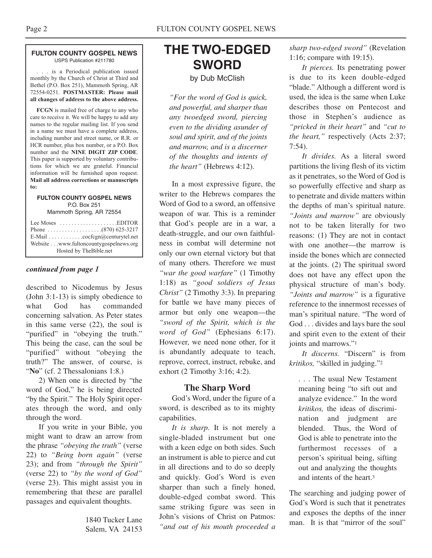#### **FULTON COUNTY GOSPEL NEWS** USPS Publication #211780

. . . is a Periodical publication issued monthly by the Church of Christ at Third and Bethel (P.O. Box 251), Mammoth Spring, AR 72554-0251. **POSTMASTER: Please mail all changes of address to the above address.**

**FCGN** is mailed free of charge to any who care to receive it. We will be happy to add any names to the regular mailing list. If you send in a name we must have a complete address, including number and street name, or R.R. or HCR number, plus box number, or a P.O. Box number and the **NINE DIGIT ZIP CODE**. This paper is supported by voluntary contributions for which we are grateful. Financial information will be furnished upon request. **Mail all address corrections or manuscripts to:**

#### **FULTON COUNTY GOSPEL NEWS** P.O. Box 251

Mammoth Spring, AR 72554

| Lee Moses $\dots\dots\dots\dots\dots\dots$ . EDITOR<br>E-Mail $\ldots \ldots \ldots \ldots$ cocfcgn@centurytel.net |
|--------------------------------------------------------------------------------------------------------------------|
| Website www.fultoncountygospelnews.org                                                                             |
| Hosted by TheBible.net                                                                                             |

#### *continued from page 1*

described to Nicodemus by Jesus (John 3:1-13) is simply obedience to what God has commanded concerning salvation. As Peter states in this same verse (22), the soul is "purified" in "obeying the truth." This being the case, can the soul be "purified" without "obeying the truth?" The answer, of course, is "No" (cf. 2 Thessalonians 1:8.)

2) When one is directed by "the word of God," he is being directed "by the Spirit." The Holy Spirit operates through the word, and only through the word.

If you write in your Bible, you might want to draw an arrow from the phrase *"obeying the truth"* (verse 22) to *"Being born again"* (verse 23); and from *"through the Spirit"* (verse 22) to *"by the word of God"* (verse 23). This might assist you in remembering that these are parallel passages and equivalent thoughts.

> 1840 Tucker Lane Salem, VA 24153

# **THE TWO-EDGED SWORD** by Dub McClish

*"For the word of God is quick, and powerful, and sharper than any twoedged sword, piercing even to the dividing asunder of soul and spirit, and of the joints and marrow, and is a discerner of the thoughts and intents of the heart"* (Hebrews 4:12).

In a most expressive figure, the writer to the Hebrews compares the Word of God to a sword, an offensive weapon of war. This is a reminder that God's people are in a war, a death-struggle, and our own faithfulness in combat will determine not only our own eternal victory but that of many others. Therefore we must *"war the good warfare"* (1 Timothy 1:18) as *"good soldiers of Jesus Christ"* (2 Timothy 3:3). In preparing for battle we have many pieces of armor but only one weapon—the *"sword of the Spirit, which is the word of God"* (Ephesians 6:17). However, we need none other, for it is abundantly adequate to teach, reprove, correct, instruct, rebuke, and exhort (2 Timothy 3:16; 4:2).

## **The Sharp Word**

God's Word, under the figure of a sword, is described as to its mighty capabilities.

*It is sharp.* It is not merely a single-bladed instrument but one with a keen edge on both sides. Such an instrument is able to pierce and cut in all directions and to do so deeply and quickly. God's Word is even sharper than such a finely honed, double-edged combat sword. This same striking figure was seen in John's visions of Christ on Patmos: *"and out of his mouth proceeded a*

*sharp two-edged sword"* (Revelation 1:16; compare with 19:15).

*It pierces.* Its penetrating power is due to its keen double-edged "blade." Although a different word is used, the idea is the same when Luke describes those on Pentecost and those in Stephen's audience as *"pricked in their heart"* and *"cut to the heart,"* respectively (Acts 2:37; 7:54).

*It divides.* As a literal sword partitions the living flesh of its victim as it penetrates, so the Word of God is so powerfully effective and sharp as to penetrate and divide matters within the depths of man's spiritual nature. *"Joints and marrow"* are obviously not to be taken literally for two reasons: (1) They are not in contact with one another—the marrow is inside the bones which are connected at the joints. (2) The spiritual sword does not have any effect upon the physical structure of man's body. *"Joints and marrow"* is a figurative reference to the innermost recesses of man's spiritual nature. "The word of God . . . divides and lays bare the soul and spirit even to the extent of their joints and marrows."1

*It discerns.* "Discern" is from *kritikos,* "skilled in judging."2

. . . The usual New Testament meaning being "to sift out and analyze evidence." In the word *kritikos,* the ideas of discrimination and judgment are blended. Thus, the Word of God is able to penetrate into the furthermost recesses of a person's spiritual being, sifting out and analyzing the thoughts and intents of the heart.3

The searching and judging power of God's Word is such that it penetrates and exposes the depths of the inner man. It is that "mirror of the soul"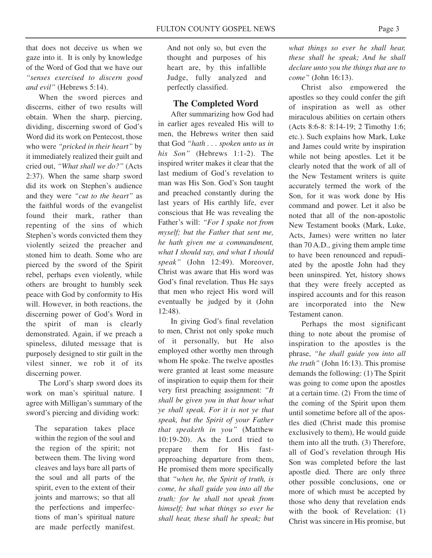that does not deceive us when we gaze into it. It is only by knowledge of the Word of God that we have our *"senses exercised to discern good and evil"* (Hebrews 5:14).

When the sword pierces and discerns, either of two results will obtain. When the sharp, piercing, dividing, discerning sword of God's Word did its work on Pentecost, those who were *"pricked in their heart"* by it immediately realized their guilt and cried out, *"What shall we do?"* (Acts 2:37). When the same sharp sword did its work on Stephen's audience and they were *"cut to the heart"* as the faithful words of the evangelist found their mark, rather than repenting of the sins of which Stephen's words convicted them they violently seized the preacher and stoned him to death. Some who are pierced by the sword of the Spirit rebel, perhaps even violently, while others are brought to humbly seek peace with God by conformity to His will. However, in both reactions, the discerning power of God's Word in the spirit of man is clearly demonstrated. Again, if we preach a spineless, diluted message that is purposely designed to stir guilt in the vilest sinner, we rob it of its discerning power.

The Lord's sharp sword does its work on man's spiritual nature. I agree with Milligan's summary of the sword's piercing and dividing work:

The separation takes place within the region of the soul and the region of the spirit; not between them. The living word cleaves and lays bare all parts of the soul and all parts of the spirit, even to the extent of their joints and marrows; so that all the perfections and imperfections of man's spiritual nature are made perfectly manifest.

And not only so, but even the thought and purposes of his heart are, by this infallible Judge, fully analyzed and perfectly classified.

#### **The Completed Word**

After summarizing how God had in earlier ages revealed His will to men, the Hebrews writer then said that God *"hath . . . spoken unto us in his Son"* (Hebrews 1:1-2). The inspired writer makes it clear that the last medium of God's revelation to man was His Son. God's Son taught and preached constantly during the last years of His earthly life, ever conscious that He was revealing the Father's will: *"For I spake not from myself; but the Father that sent me, he hath given me a commandment, what I should say, and what I should speak"* (John 12:49). Moreover, Christ was aware that His word was God's final revelation. Thus He says that men who reject His word will eventually be judged by it (John 12:48).

In giving God's final revelation to men, Christ not only spoke much of it personally, but He also employed other worthy men through whom He spoke. The twelve apostles were granted at least some measure of inspiration to equip them for their very first preaching assignment: *"It shall be given you in that hour what ye shall speak. For it is not ye that speak, but the Spirit of your Father that speaketh in you"* (Matthew 10:19-20). As the Lord tried to prepare them for His fastapproaching departure from them, He promised them more specifically that *"when he, the Spirit of truth, is come, he shall guide you into all the truth: for he shall not speak from himself; but what things so ever he shall hear, these shall he speak; but*

*what things so ever he shall hear, these shall he speak; And he shall declare unto you the things that are to come"* (John 16:13).

Christ also empowered the apostles so they could confer the gift of inspiration as well as other miraculous abilities on certain others (Acts 8:6-8: 8:14-19; 2 Timothy 1:6; etc.). Such explains how Mark, Luke and James could write by inspiration while not being apostles. Let it be clearly noted that the work of all of the New Testament writers is quite accurately termed the work of the Son, for it was work done by His command and power. Let it also be noted that all of the non-apostolic New Testament books (Mark, Luke, Acts, James) were written no later than 70 A.D., giving them ample time to have been renounced and repudiated by the apostle John had they been uninspired. Yet, history shows that they were freely accepted as inspired accounts and for this reason are incorporated into the New Testament canon.

Perhaps the most significant thing to note about the promise of inspiration to the apostles is the phrase, *"he shall guide you into all the truth"* (John 16:13). This promise demands the following: (1) The Spirit was going to come upon the apostles at a certain time. (2) From the time of the coming of the Spirit upon them until sometime before all of the apostles died (Christ made this promise exclusively to them), He would guide them into all the truth. (3) Therefore, all of God's revelation through His Son was completed before the last apostle died. There are only three other possible conclusions, one or more of which must be accepted by those who deny that revelation ends with the book of Revelation: (1) Christ was sincere in His promise, but